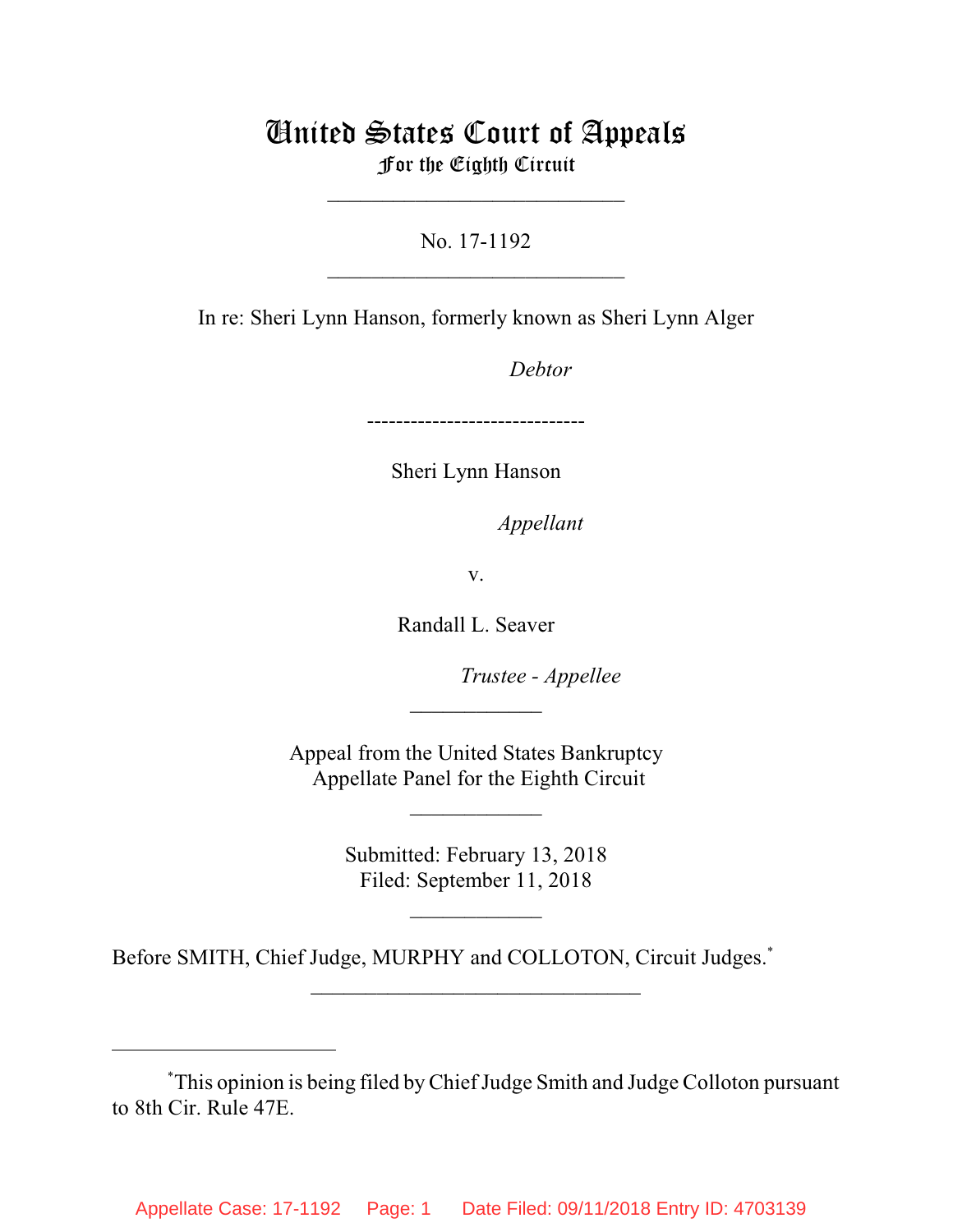# United States Court of Appeals For the Eighth Circuit

\_\_\_\_\_\_\_\_\_\_\_\_\_\_\_\_\_\_\_\_\_\_\_\_\_\_\_

No. 17-1192  $\mathcal{L}_\text{max}$  , which is a set of the set of the set of the set of the set of the set of the set of the set of the set of the set of the set of the set of the set of the set of the set of the set of the set of the set of

In re: Sheri Lynn Hanson, formerly known as Sheri Lynn Alger

Debtor

------------------------------

Sheri Lynn Hanson

*Appellant* 

v.

Randall L. Seaver

lllllllllllllllllllll*Trustee - Appellee*

Appeal from the United States Bankruptcy Appellate Panel for the Eighth Circuit

 $\overline{\phantom{a}}$  , where  $\overline{\phantom{a}}$ 

 $\frac{1}{2}$ 

Submitted: February 13, 2018 Filed: September 11, 2018

 $\frac{1}{2}$ 

 $\frac{1}{2}$  , the set of the set of the set of the set of the set of the set of the set of the set of the set of the set of the set of the set of the set of the set of the set of the set of the set of the set of the set of

Before SMITH, Chief Judge, MURPHY and COLLOTON, Circuit Judges.\*

This opinion is being filed by Chief Judge Smith and Judge Colloton pursuant \* to 8th Cir. Rule 47E.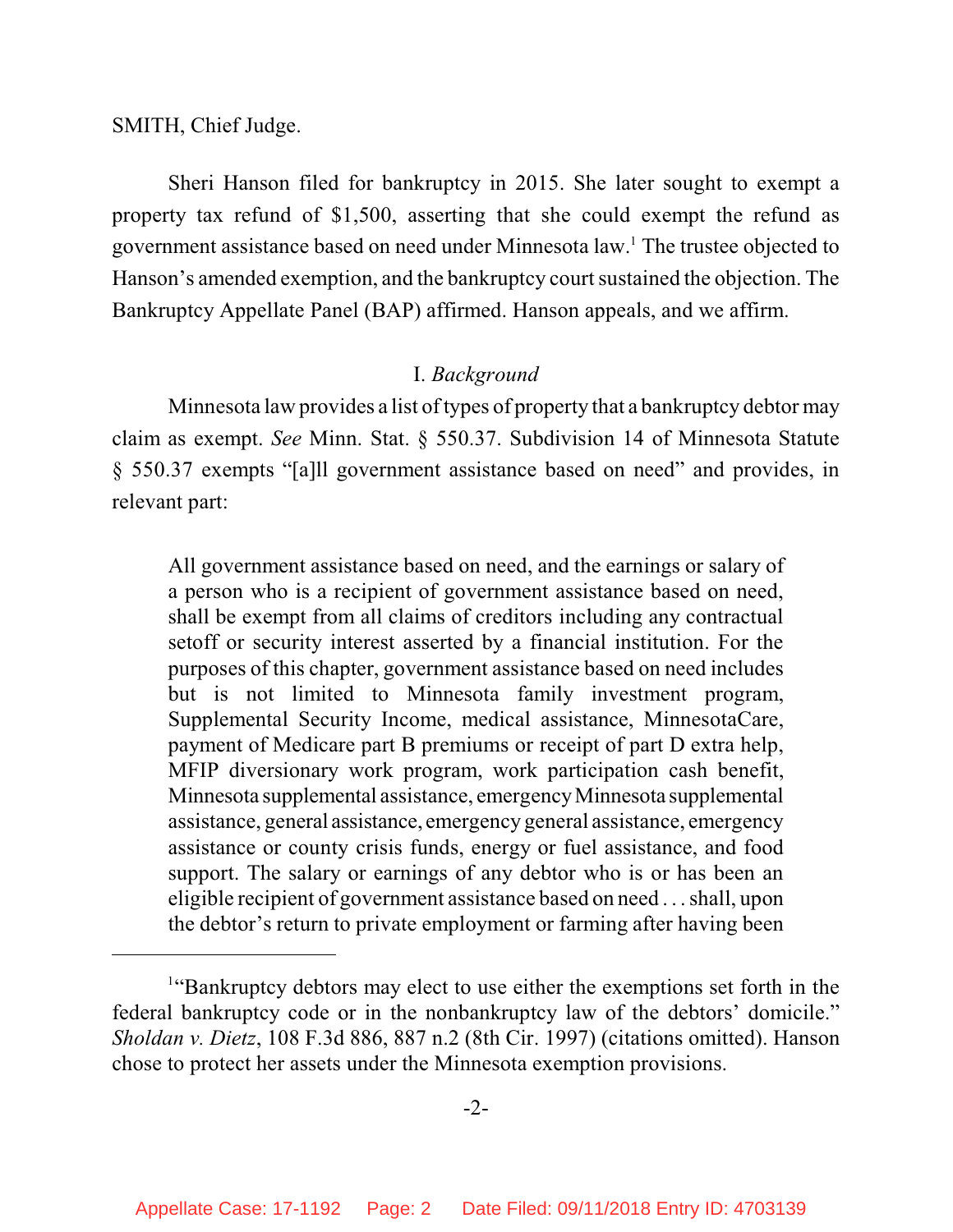SMITH, Chief Judge.

Sheri Hanson filed for bankruptcy in 2015. She later sought to exempt a property tax refund of \$1,500, asserting that she could exempt the refund as government assistance based on need under Minnesota law. The trustee objected to <sup>1</sup> Hanson's amended exemption, and the bankruptcy court sustained the objection. The Bankruptcy Appellate Panel (BAP) affirmed. Hanson appeals, and we affirm.

## I. *Background*

Minnesota law provides a list of types of property that a bankruptcy debtor may claim as exempt. *See* Minn. Stat. § 550.37. Subdivision 14 of Minnesota Statute § 550.37 exempts "[a]ll government assistance based on need" and provides, in relevant part:

All government assistance based on need, and the earnings or salary of a person who is a recipient of government assistance based on need, shall be exempt from all claims of creditors including any contractual setoff or security interest asserted by a financial institution. For the purposes of this chapter, government assistance based on need includes but is not limited to Minnesota family investment program, Supplemental Security Income, medical assistance, MinnesotaCare, payment of Medicare part B premiums or receipt of part D extra help, MFIP diversionary work program, work participation cash benefit, Minnesota supplemental assistance, emergencyMinnesota supplemental assistance, general assistance, emergency general assistance, emergency assistance or county crisis funds, energy or fuel assistance, and food support. The salary or earnings of any debtor who is or has been an eligible recipient of government assistance based on need . . . shall, upon the debtor's return to private employment or farming after having been

<sup>&</sup>lt;sup>1</sup>"Bankruptcy debtors may elect to use either the exemptions set forth in the federal bankruptcy code or in the nonbankruptcy law of the debtors' domicile." *Sholdan v. Dietz*, 108 F.3d 886, 887 n.2 (8th Cir. 1997) (citations omitted). Hanson chose to protect her assets under the Minnesota exemption provisions.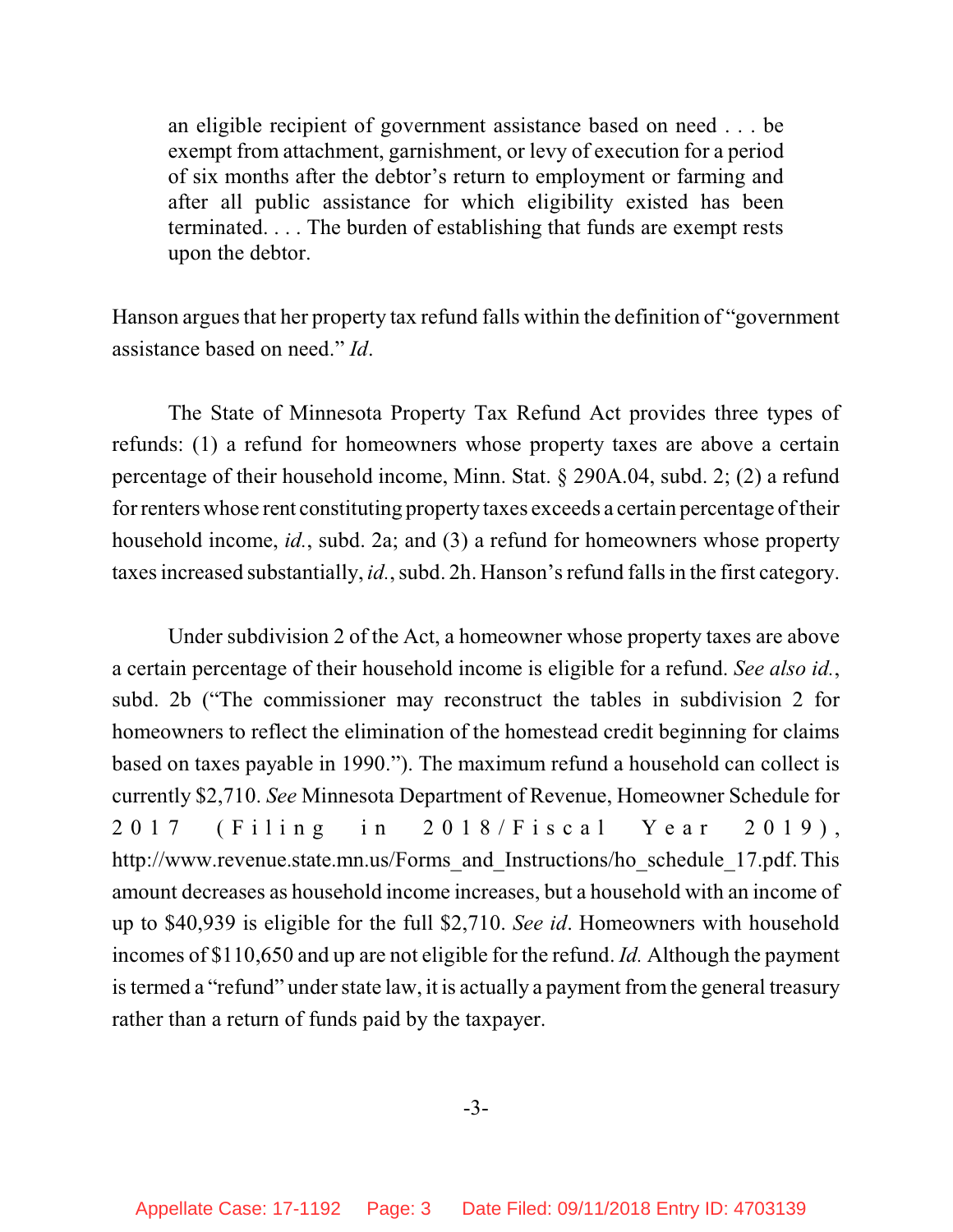an eligible recipient of government assistance based on need . . . be exempt from attachment, garnishment, or levy of execution for a period of six months after the debtor's return to employment or farming and after all public assistance for which eligibility existed has been terminated. . . . The burden of establishing that funds are exempt rests upon the debtor.

Hanson argues that her property tax refund falls within the definition of "government assistance based on need." *Id*.

The State of Minnesota Property Tax Refund Act provides three types of refunds: (1) a refund for homeowners whose property taxes are above a certain percentage of their household income, Minn. Stat. § 290A.04, subd. 2; (2) a refund for renters whose rent constituting property taxes exceeds a certain percentage oftheir household income, *id.*, subd. 2a; and (3) a refund for homeowners whose property taxes increased substantially, *id.*, subd. 2h. Hanson's refund fallsin the first category.

Under subdivision 2 of the Act, a homeowner whose property taxes are above a certain percentage of their household income is eligible for a refund. *See also id.*, subd. 2b ("The commissioner may reconstruct the tables in subdivision 2 for homeowners to reflect the elimination of the homestead credit beginning for claims based on taxes payable in 1990."). The maximum refund a household can collect is currently \$2,710. *See* Minnesota Department of Revenue, Homeowner Schedule for 2017 (Filing in 2018/Fiscal Year 2019), http://www.revenue.state.mn.us/Forms\_and\_Instructions/ho\_schedule\_17.pdf. This amount decreases as household income increases, but a household with an income of up to \$40,939 is eligible for the full \$2,710. *See id*. Homeowners with household incomes of \$110,650 and up are not eligible for the refund. *Id.* Although the payment istermed a "refund" under state law, it is actually a payment from the general treasury rather than a return of funds paid by the taxpayer.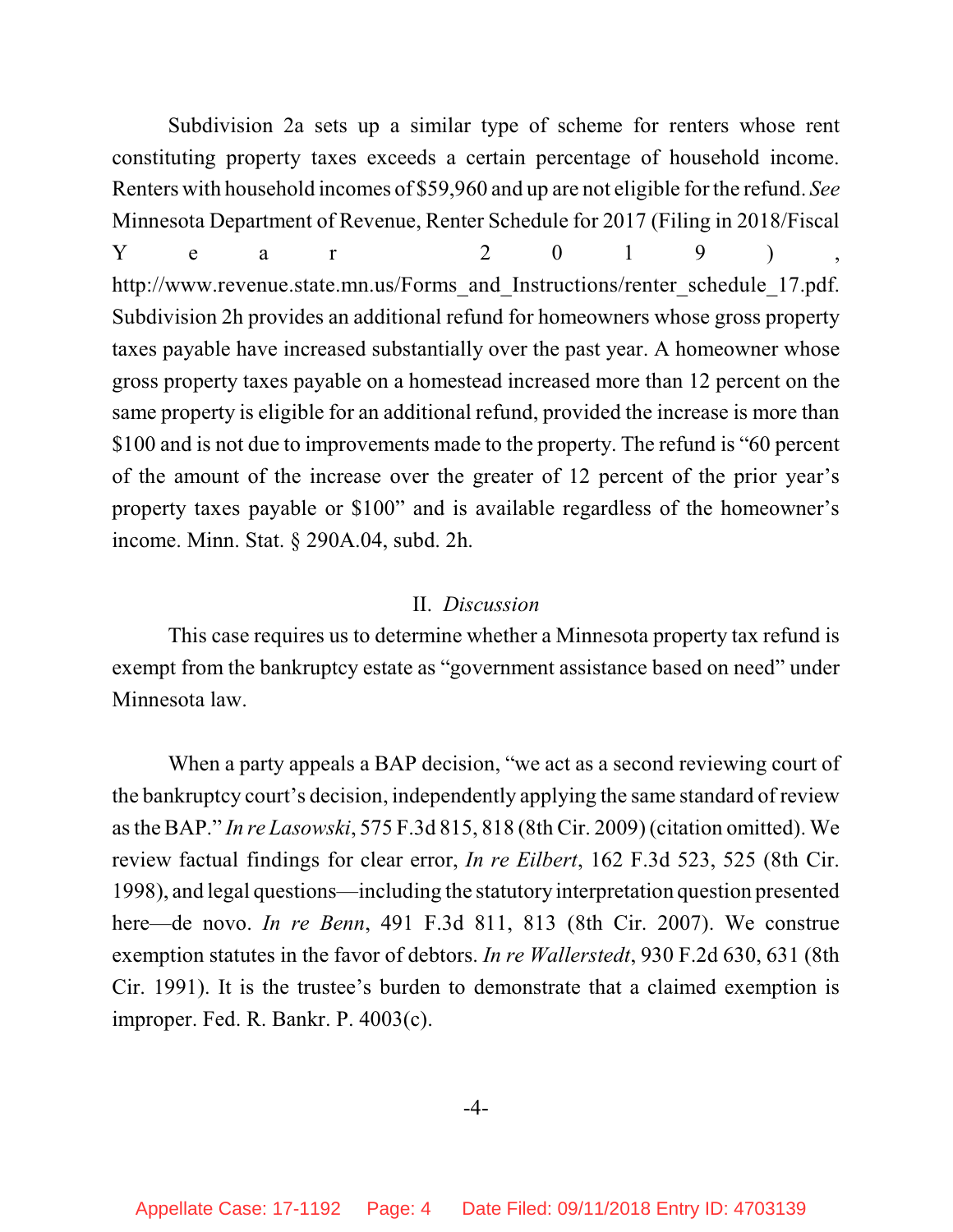Subdivision 2a sets up a similar type of scheme for renters whose rent constituting property taxes exceeds a certain percentage of household income. Renters with household incomes of \$59,960 and up are not eligible for the refund. *See* Minnesota Department of Revenue, Renter Schedule for 2017 (Filing in 2018/Fiscal  $Y$  e a r 2 0 1 9 ), http://www.revenue.state.mn.us/Forms\_and\_Instructions/renter\_schedule\_17.pdf. Subdivision 2h provides an additional refund for homeowners whose gross property taxes payable have increased substantially over the past year. A homeowner whose gross property taxes payable on a homestead increased more than 12 percent on the same property is eligible for an additional refund, provided the increase is more than \$100 and is not due to improvements made to the property. The refund is "60 percent of the amount of the increase over the greater of 12 percent of the prior year's property taxes payable or \$100" and is available regardless of the homeowner's income. Minn. Stat. § 290A.04, subd. 2h.

#### II. *Discussion*

This case requires us to determine whether a Minnesota property tax refund is exempt from the bankruptcy estate as "government assistance based on need" under Minnesota law.

When a party appeals a BAP decision, "we act as a second reviewing court of the bankruptcy court's decision, independently applying the same standard of review asthe BAP." *In re Lasowski*, 575 F.3d 815, 818 (8th Cir. 2009) (citation omitted). We review factual findings for clear error, *In re Eilbert*, 162 F.3d 523, 525 (8th Cir. 1998), and legal questions—including the statutory interpretation question presented here—de novo. *In re Benn*, 491 F.3d 811, 813 (8th Cir. 2007). We construe exemption statutes in the favor of debtors. *In re Wallerstedt*, 930 F.2d 630, 631 (8th Cir. 1991). It is the trustee's burden to demonstrate that a claimed exemption is improper. Fed. R. Bankr. P. 4003(c).

#### -4-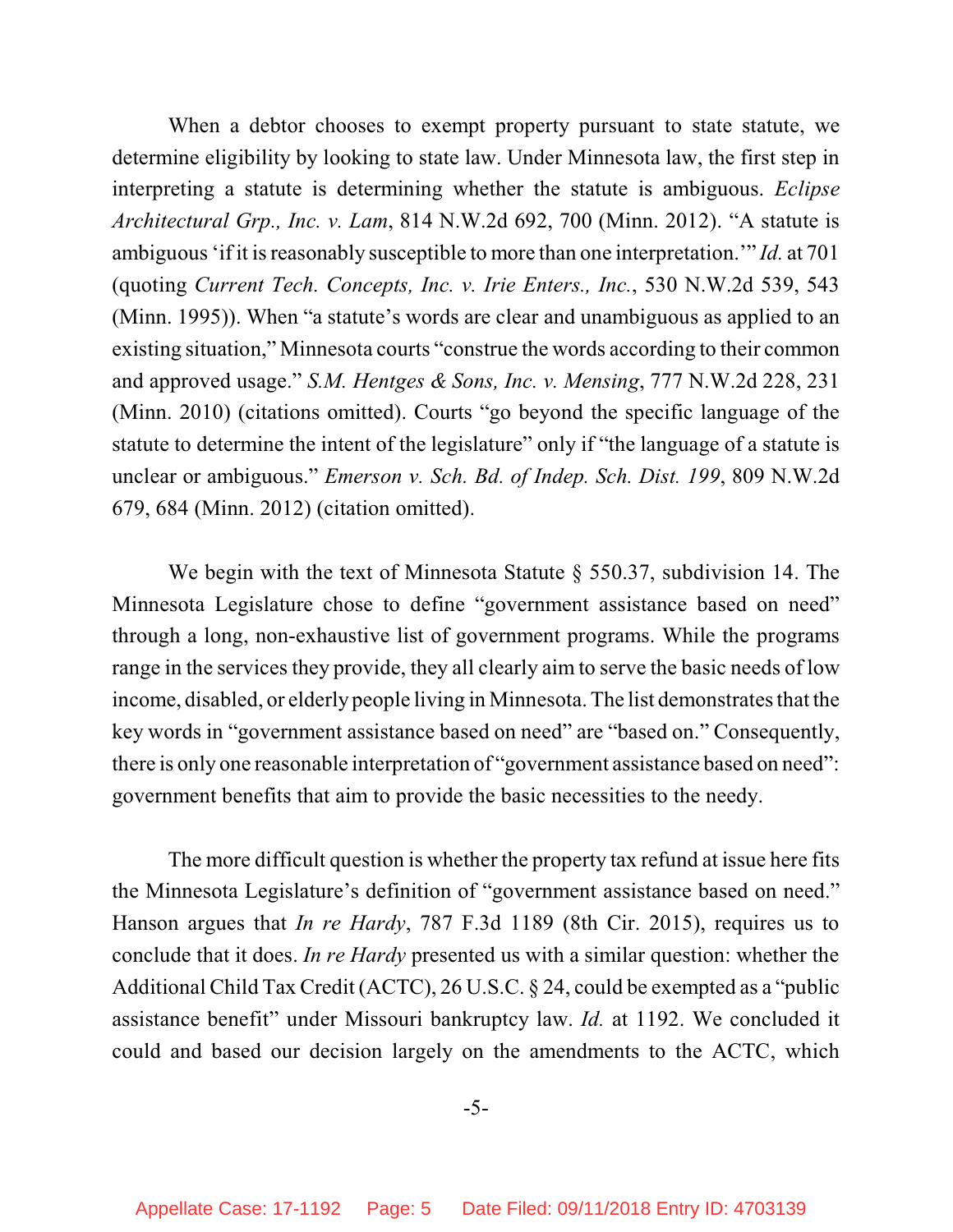When a debtor chooses to exempt property pursuant to state statute, we determine eligibility by looking to state law. Under Minnesota law, the first step in interpreting a statute is determining whether the statute is ambiguous. *Eclipse Architectural Grp., Inc. v. Lam*, 814 N.W.2d 692, 700 (Minn. 2012). "A statute is ambiguous 'if it isreasonably susceptible to more than one interpretation.'" *Id.* at 701 (quoting *Current Tech. Concepts, Inc. v. Irie Enters., Inc.*, 530 N.W.2d 539, 543 (Minn. 1995)). When "a statute's words are clear and unambiguous as applied to an existing situation," Minnesota courts "construe the words according to their common and approved usage." *S.M. Hentges & Sons, Inc. v. Mensing*, 777 N.W.2d 228, 231 (Minn. 2010) (citations omitted). Courts "go beyond the specific language of the statute to determine the intent of the legislature" only if "the language of a statute is unclear or ambiguous." *Emerson v. Sch. Bd. of Indep. Sch. Dist. 199*, 809 N.W.2d 679, 684 (Minn. 2012) (citation omitted).

We begin with the text of Minnesota Statute § 550.37, subdivision 14. The Minnesota Legislature chose to define "government assistance based on need" through a long, non-exhaustive list of government programs. While the programs range in the services they provide, they all clearly aim to serve the basic needs of low income, disabled, or elderly people living in Minnesota. The list demonstrates that the key words in "government assistance based on need" are "based on." Consequently, there is only one reasonable interpretation of "government assistance based on need": government benefits that aim to provide the basic necessities to the needy.

The more difficult question is whether the property tax refund at issue here fits the Minnesota Legislature's definition of "government assistance based on need." Hanson argues that *In re Hardy*, 787 F.3d 1189 (8th Cir. 2015), requires us to conclude that it does. *In re Hardy* presented us with a similar question: whether the Additional Child Tax Credit (ACTC), 26 U.S.C. § 24, could be exempted as a "public assistance benefit" under Missouri bankruptcy law. *Id.* at 1192. We concluded it could and based our decision largely on the amendments to the ACTC, which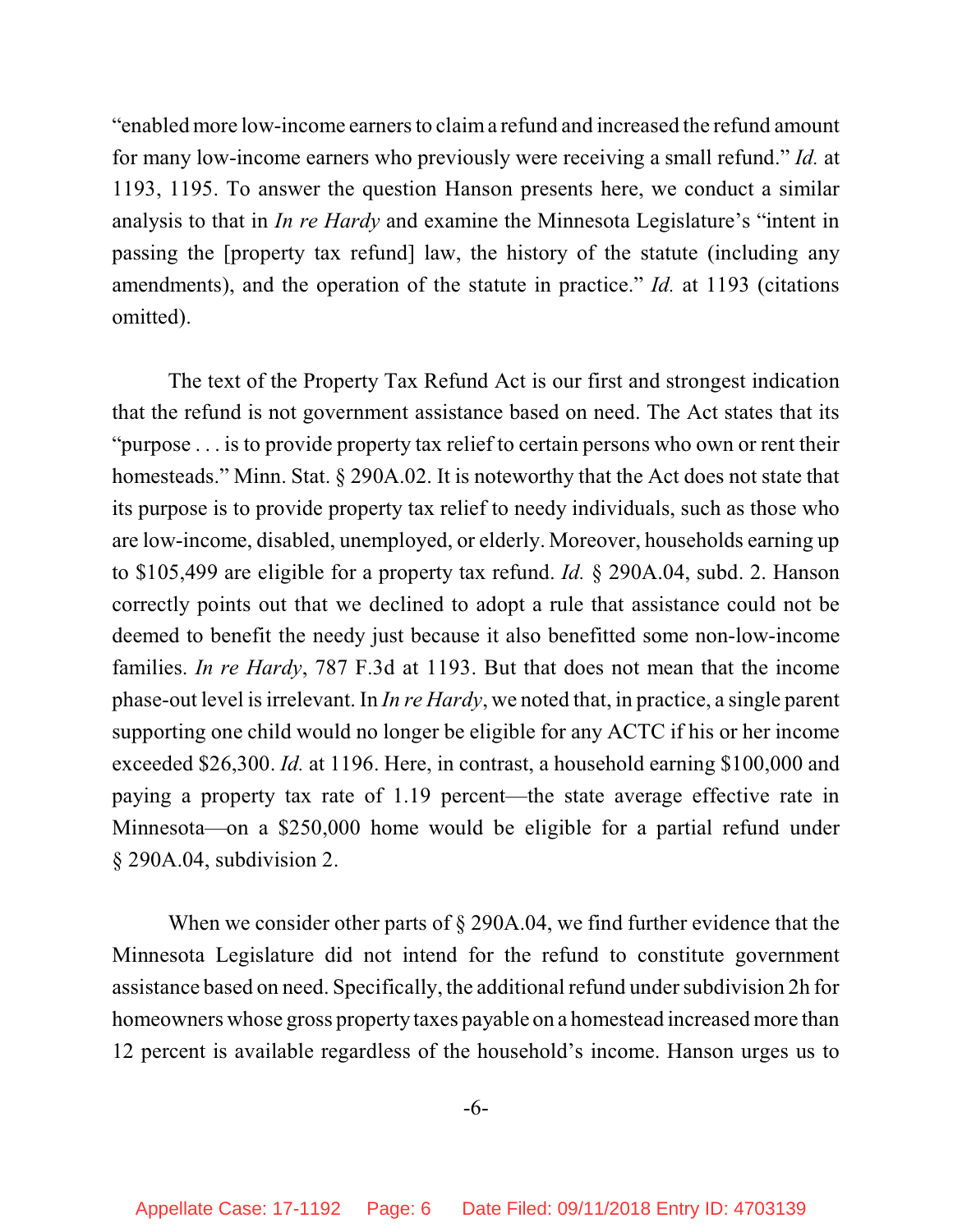"enabled more low-income earnersto claima refund and increased the refund amount for many low-income earners who previously were receiving a small refund." *Id.* at 1193, 1195. To answer the question Hanson presents here, we conduct a similar analysis to that in *In re Hardy* and examine the Minnesota Legislature's "intent in passing the [property tax refund] law, the history of the statute (including any amendments), and the operation of the statute in practice." *Id.* at 1193 (citations omitted).

The text of the Property Tax Refund Act is our first and strongest indication that the refund is not government assistance based on need. The Act states that its "purpose . . . is to provide property tax relief to certain persons who own or rent their homesteads." Minn. Stat. § 290A.02. It is noteworthy that the Act does not state that its purpose is to provide property tax relief to needy individuals, such as those who are low-income, disabled, unemployed, or elderly. Moreover, households earning up to \$105,499 are eligible for a property tax refund. *Id.* § 290A.04, subd. 2. Hanson correctly points out that we declined to adopt a rule that assistance could not be deemed to benefit the needy just because it also benefitted some non-low-income families. *In re Hardy*, 787 F.3d at 1193. But that does not mean that the income phase-out level isirrelevant. In *In re Hardy*, we noted that, in practice, a single parent supporting one child would no longer be eligible for any ACTC if his or her income exceeded \$26,300. *Id.* at 1196. Here, in contrast, a household earning \$100,000 and paying a property tax rate of 1.19 percent—the state average effective rate in Minnesota—on a \$250,000 home would be eligible for a partial refund under § 290A.04, subdivision 2.

When we consider other parts of  $\S$  290A.04, we find further evidence that the Minnesota Legislature did not intend for the refund to constitute government assistance based on need. Specifically, the additional refund under subdivision 2h for homeowners whose gross property taxes payable on a homestead increased more than 12 percent is available regardless of the household's income. Hanson urges us to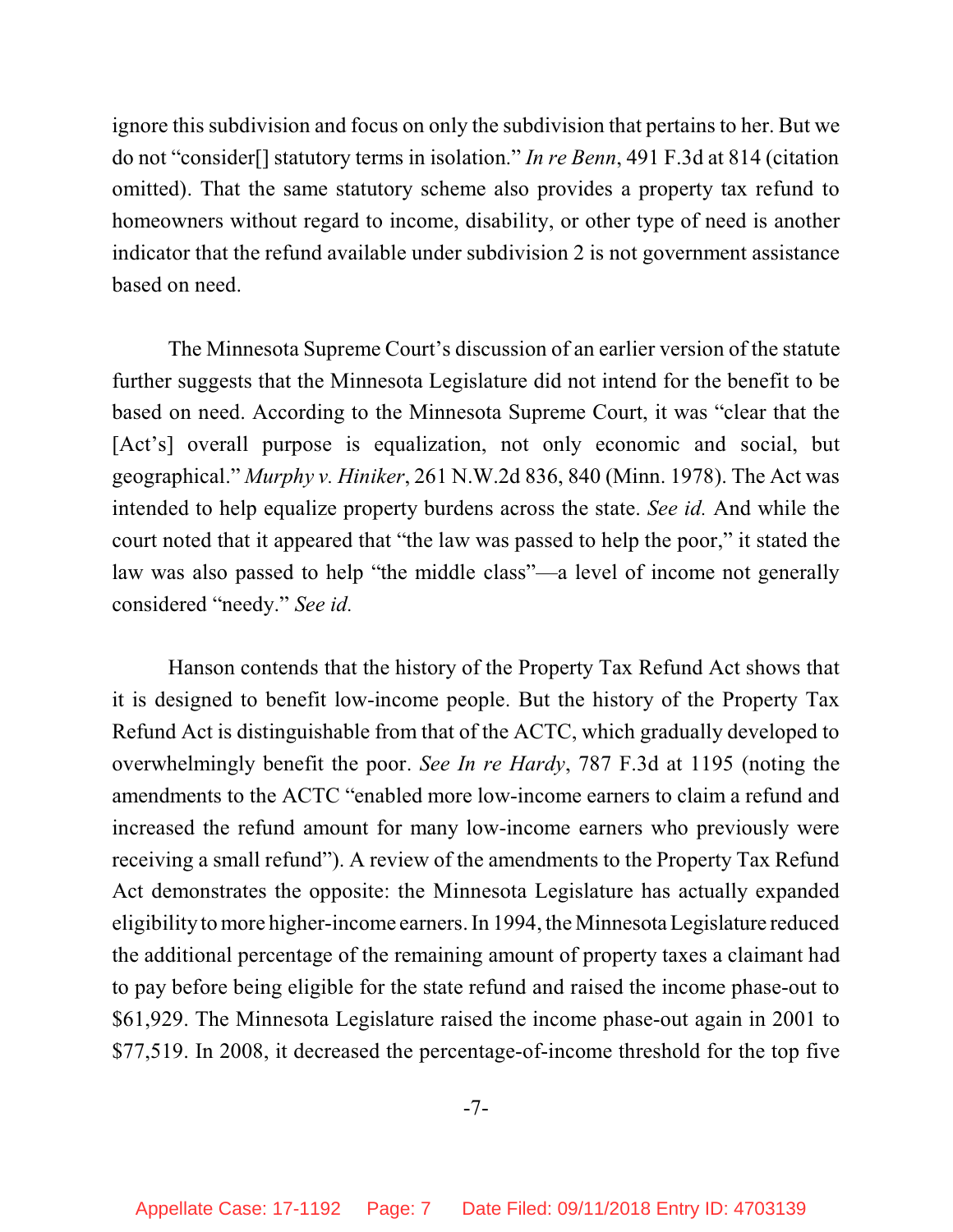ignore this subdivision and focus on only the subdivision that pertains to her. But we do not "consider[] statutory terms in isolation." *In re Benn*, 491 F.3d at 814 (citation omitted). That the same statutory scheme also provides a property tax refund to homeowners without regard to income, disability, or other type of need is another indicator that the refund available under subdivision 2 is not government assistance based on need.

The Minnesota Supreme Court's discussion of an earlier version of the statute further suggests that the Minnesota Legislature did not intend for the benefit to be based on need. According to the Minnesota Supreme Court, it was "clear that the [Act's] overall purpose is equalization, not only economic and social, but geographical." *Murphy v. Hiniker*, 261 N.W.2d 836, 840 (Minn. 1978). The Act was intended to help equalize property burdens across the state. *See id.* And while the court noted that it appeared that "the law was passed to help the poor," it stated the law was also passed to help "the middle class"—a level of income not generally considered "needy." *See id.* 

Hanson contends that the history of the Property Tax Refund Act shows that it is designed to benefit low-income people. But the history of the Property Tax Refund Act is distinguishable from that of the ACTC, which gradually developed to overwhelmingly benefit the poor. *See In re Hardy*, 787 F.3d at 1195 (noting the amendments to the ACTC "enabled more low-income earners to claim a refund and increased the refund amount for many low-income earners who previously were receiving a small refund"). A review of the amendments to the Property Tax Refund Act demonstrates the opposite: the Minnesota Legislature has actually expanded eligibility to more higher-income earners. In 1994, the Minnesota Legislature reduced the additional percentage of the remaining amount of property taxes a claimant had to pay before being eligible for the state refund and raised the income phase-out to \$61,929. The Minnesota Legislature raised the income phase-out again in 2001 to \$77,519. In 2008, it decreased the percentage-of-income threshold for the top five